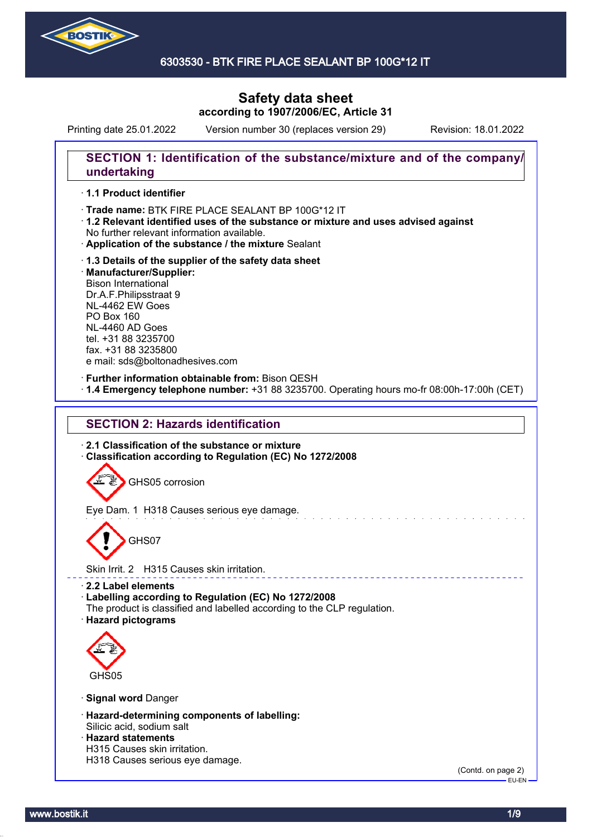

### 6303530 - BTK FIRE PLACE SEALANT BP 100G\*12 IT

# **Safety data sheet according to 1907/2006/EC, Article 31**

Printing date 25.01.2022 Version number 30 (replaces version 29) Revision: 18.01.2022

## **SECTION 1: Identification of the substance/mixture and of the company/ undertaking**

### · **1.1 Product identifier**

· Trade name: BTK FIRE PLACE SEALANT BP 100G\*12 IT

- · **1.2 Relevant identified uses of the substance or mixture and uses advised against** No further relevant information available.
- · **Application of the substance / the mixture** Sealant
- · **1.3 Details of the supplier of the safety data sheet** · **Manufacturer/Supplier:** Bison International Dr.A.F.Philipsstraat 9 NL-4462 EW Goes PO Box 160 NL-4460 AD Goes tel. +31 88 3235700 fax. +31 88 3235800 e mail: sds@boltonadhesives.com

#### · **Further information obtainable from:** Bison QESH

· **1.4 Emergency telephone number:** +31 88 3235700. Operating hours mo-fr 08:00h-17:00h (CET)

## **SECTION 2: Hazards identification**

· **2.1 Classification of the substance or mixture** · **Classification according to Regulation (EC) No 1272/2008**

GHS05 corrosion

Eye Dam. 1 H318 Causes serious eye damage.

GHS07

Skin Irrit. 2 H315 Causes skin irritation.

#### · **2.2 Label elements**

· **Labelling according to Regulation (EC) No 1272/2008**

- The product is classified and labelled according to the CLP regulation.
- · **Hazard pictograms**



#### · **Signal word** Danger

- · **Hazard-determining components of labelling:** Silicic acid, sodium salt
- · **Hazard statements**
- H315 Causes skin irritation.
- H318 Causes serious eye damage.

(Contd. on page 2)  $-EU-EN$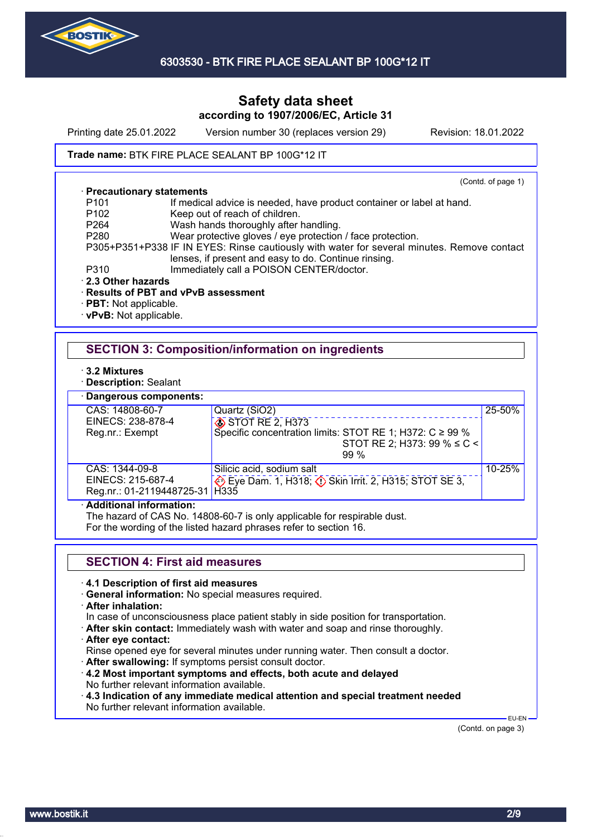

Printing date 25.01.2022 Version number 30 (replaces version 29) Revision: 18.01.2022

### Trade name: BTK FIRE PLACE SEALANT BP 100G\*12 IT

#### · **Precautionary statements**

(Contd. of page 1)

- P101 If medical advice is needed, have product container or label at hand.<br>P102 Keep out of reach of children.
- P102 Keep out of reach of children.<br>P264 Wash hands thoroughly after
	- Wash hands thoroughly after handling.
- P280 Wear protective gloves / eye protection / face protection.

P305+P351+P338 IF IN EYES: Rinse cautiously with water for several minutes. Remove contact lenses, if present and easy to do. Continue rinsing.

- P310 Immediately call a POISON CENTER/doctor.
- · **2.3 Other hazards**

### · **Results of PBT and vPvB assessment**

- · **PBT:** Not applicable.
- · **vPvB:** Not applicable.

## **SECTION 3: Composition/information on ingredients**

- · **3.2 Mixtures**
- · **Description:** Sealant
- · **Dangerous components:**

| Dangerous components.                                   |                                                                |        |
|---------------------------------------------------------|----------------------------------------------------------------|--------|
| CAS: 14808-60-7                                         | Quartz (SiO2)                                                  | 25-50% |
| EINECS: 238-878-4                                       | STOT RE 2, H373                                                |        |
| Reg.nr.: Exempt                                         | Specific concentration limits: STOT RE 1; H372: $C \ge 99\%$   |        |
|                                                         | STOT RE 2; H373: 99 % $\leq C$ <                               |        |
|                                                         | $99\%$                                                         |        |
| CAS: 1344-09-8                                          | Silicic acid, sodium salt                                      | 10-25% |
| EINECS: 215-687-4                                       | Eye Dam. 1, H318; $\circled{}$ Skin Irrit. 2, H315; STOT SE 3, |        |
| Reg.nr.: 01-2119448725-31   H335                        |                                                                |        |
| A statistic series to $\mathcal{L}$ , and a statistical |                                                                |        |

#### · **Additional information:**

The hazard of CAS No. 14808-60-7 is only applicable for respirable dust.

For the wording of the listed hazard phrases refer to section 16.

## **SECTION 4: First aid measures**

#### · **4.1 Description of first aid measures**

- · **General information:** No special measures required.
- · **After inhalation:**

In case of unconsciousness place patient stably in side position for transportation.

- · **After skin contact:** Immediately wash with water and soap and rinse thoroughly.
- · **After eye contact:**

Rinse opened eye for several minutes under running water. Then consult a doctor.

- · **After swallowing:** If symptoms persist consult doctor.
- · **4.2 Most important symptoms and effects, both acute and delayed** No further relevant information available.
- · **4.3 Indication of any immediate medical attention and special treatment needed** No further relevant information available.

 EU-EN (Contd. on page 3)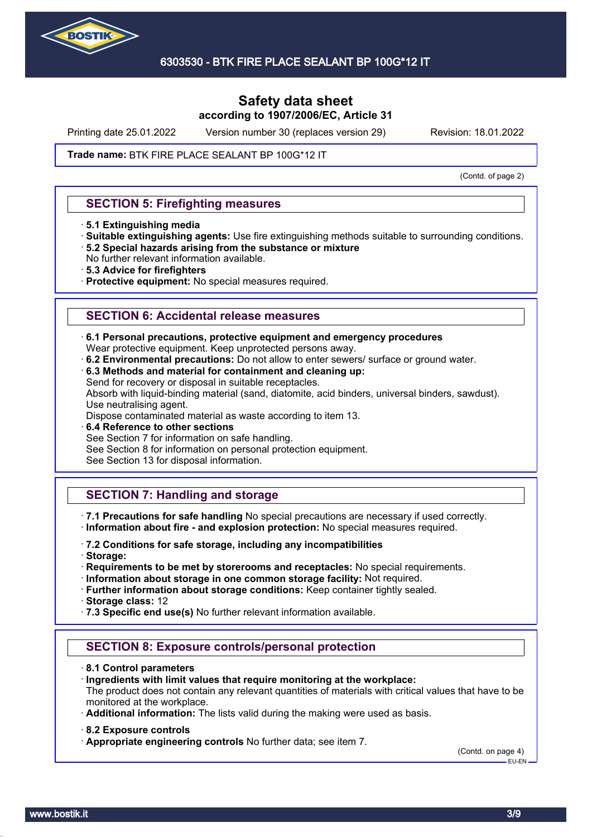

Printing date 25.01.2022 Version number 30 (replaces version 29) Revision: 18.01.2022

#### Trade name: BTK FIRE PLACE SEALANT BP 100G\*12 IT

(Contd. of page 2)

### **SECTION 5: Firefighting measures**

- · **5.1 Extinguishing media**
- · **Suitable extinguishing agents:** Use fire extinguishing methods suitable to surrounding conditions. · **5.2 Special hazards arising from the substance or mixture**
- No further relevant information available.
- · **5.3 Advice for firefighters**
- · **Protective equipment:** No special measures required.

### **SECTION 6: Accidental release measures**

- · **6.1 Personal precautions, protective equipment and emergency procedures**
- Wear protective equipment. Keep unprotected persons away.
- · **6.2 Environmental precautions:** Do not allow to enter sewers/ surface or ground water.
- · **6.3 Methods and material for containment and cleaning up:**

Send for recovery or disposal in suitable receptacles.

Absorb with liquid-binding material (sand, diatomite, acid binders, universal binders, sawdust). Use neutralising agent.

Dispose contaminated material as waste according to item 13.

· **6.4 Reference to other sections**

See Section 7 for information on safe handling.

See Section 8 for information on personal protection equipment.

See Section 13 for disposal information.

## **SECTION 7: Handling and storage**

· **7.1 Precautions for safe handling** No special precautions are necessary if used correctly. · **Information about fire - and explosion protection:** No special measures required.

· **7.2 Conditions for safe storage, including any incompatibilities**

· **Storage:**

· **Requirements to be met by storerooms and receptacles:** No special requirements.

· **Information about storage in one common storage facility:** Not required.

· **Further information about storage conditions:** Keep container tightly sealed.

· **Storage class:** 12

· **7.3 Specific end use(s)** No further relevant information available.

## **SECTION 8: Exposure controls/personal protection**

- · **8.1 Control parameters**
- · **Ingredients with limit values that require monitoring at the workplace:**
- The product does not contain any relevant quantities of materials with critical values that have to be monitored at the workplace.
- · **Additional information:** The lists valid during the making were used as basis.
- · **8.2 Exposure controls**
- · **Appropriate engineering controls** No further data; see item 7.

(Contd. on page 4) EU-EN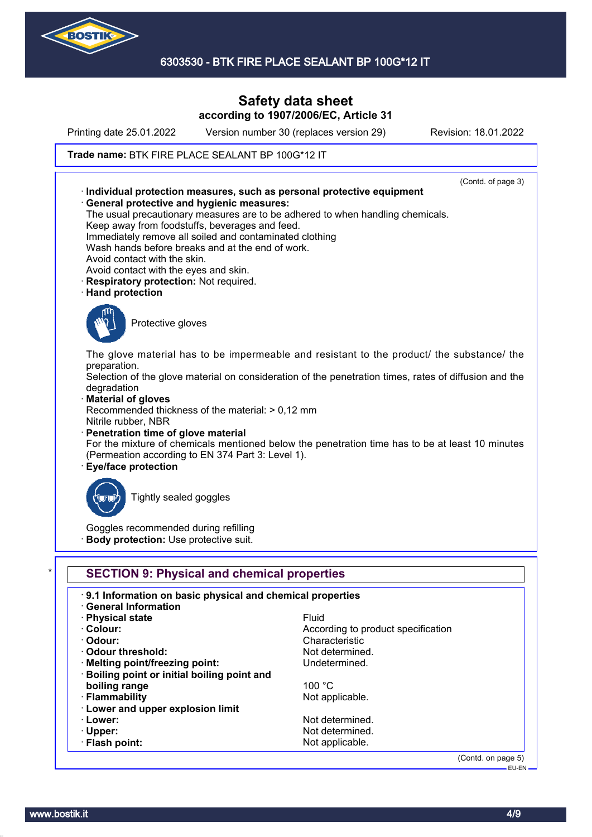

Printing date 25.01.2022 Version number 30 (replaces version 29) Revision: 18.01.2022

### Trade name: BTK FIRE PLACE SEALANT BP 100G\*12 IT



(Contd. on page 5) EU-EN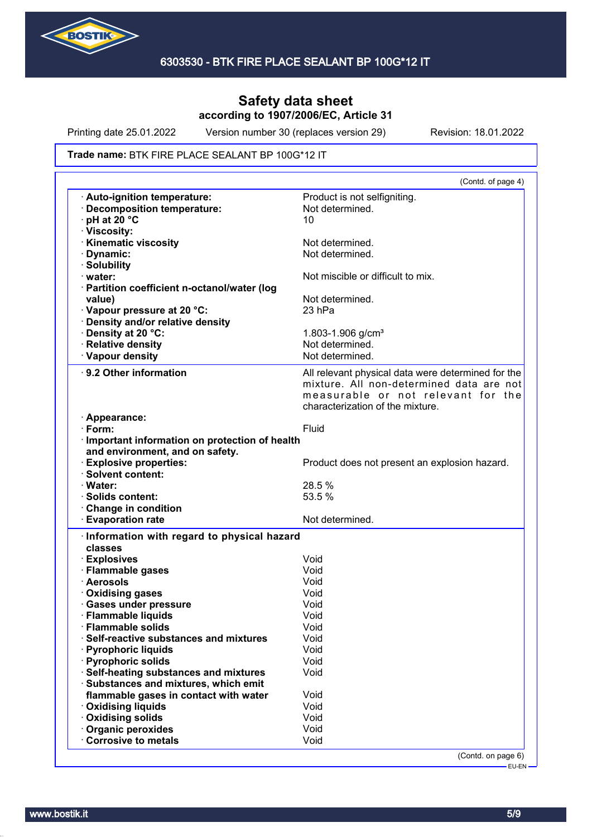

Printing date 25.01.2022 Version number 30 (replaces version 29) Revision: 18.01.2022

#### Trade name: BTK FIRE PLACE SEALANT BP 100G\*12 IT

|                                                                                                   | (Contd. of page 4)                                                                                                                                                       |
|---------------------------------------------------------------------------------------------------|--------------------------------------------------------------------------------------------------------------------------------------------------------------------------|
| <b>Auto-ignition temperature:</b><br>· Decomposition temperature:<br>$\cdot$ pH at 20 $\degree$ C | Product is not selfigniting.<br>Not determined.<br>10                                                                                                                    |
| · Viscosity:                                                                                      |                                                                                                                                                                          |
| · Kinematic viscosity                                                                             | Not determined.                                                                                                                                                          |
| · Dynamic:                                                                                        | Not determined.                                                                                                                                                          |
| · Solubility                                                                                      |                                                                                                                                                                          |
| water:                                                                                            | Not miscible or difficult to mix.                                                                                                                                        |
| · Partition coefficient n-octanol/water (log                                                      |                                                                                                                                                                          |
| value)                                                                                            | Not determined.                                                                                                                                                          |
| Vapour pressure at 20 °C:                                                                         | 23 <sub>hPa</sub>                                                                                                                                                        |
| · Density and/or relative density                                                                 |                                                                                                                                                                          |
| · Density at 20 °C:                                                                               | 1.803-1.906 g/cm <sup>3</sup>                                                                                                                                            |
| · Relative density                                                                                | Not determined.                                                                                                                                                          |
| · Vapour density                                                                                  | Not determined.                                                                                                                                                          |
| 9.2 Other information                                                                             | All relevant physical data were determined for the<br>mixture. All non-determined data are not<br>measurable or not relevant for the<br>characterization of the mixture. |
| · Appearance:                                                                                     |                                                                                                                                                                          |
| $\cdot$ Form:                                                                                     | Fluid                                                                                                                                                                    |
| · Important information on protection of health                                                   |                                                                                                                                                                          |
| and environment, and on safety.                                                                   |                                                                                                                                                                          |
| <b>Explosive properties:</b>                                                                      | Product does not present an explosion hazard.                                                                                                                            |
| · Solvent content:                                                                                |                                                                                                                                                                          |
| · Water:                                                                                          | 28.5 %<br>53.5 %                                                                                                                                                         |
| · Solids content:                                                                                 |                                                                                                                                                                          |
| Change in condition                                                                               | Not determined.                                                                                                                                                          |
|                                                                                                   |                                                                                                                                                                          |
| <b>Evaporation rate</b>                                                                           |                                                                                                                                                                          |
| · Information with regard to physical hazard                                                      |                                                                                                                                                                          |
| classes                                                                                           |                                                                                                                                                                          |
| · Explosives                                                                                      | Void                                                                                                                                                                     |
| · Flammable gases                                                                                 | Void                                                                                                                                                                     |
| · Aerosols                                                                                        | Void                                                                                                                                                                     |
| · Oxidising gases                                                                                 | Void                                                                                                                                                                     |
| · Gases under pressure                                                                            | Void                                                                                                                                                                     |
| · Flammable liquids                                                                               | Void                                                                                                                                                                     |
| <b>Flammable solids</b>                                                                           | Void                                                                                                                                                                     |
| Self-reactive substances and mixtures                                                             | Void                                                                                                                                                                     |
| · Pyrophoric liquids                                                                              | Void                                                                                                                                                                     |
| · Pyrophoric solids                                                                               | Void                                                                                                                                                                     |
| · Self-heating substances and mixtures                                                            | Void                                                                                                                                                                     |
| · Substances and mixtures, which emit                                                             |                                                                                                                                                                          |
| flammable gases in contact with water                                                             | Void                                                                                                                                                                     |
| · Oxidising liquids                                                                               | Void                                                                                                                                                                     |
| Oxidising solids                                                                                  | Void                                                                                                                                                                     |
| Organic peroxides<br>Corrosive to metals                                                          | Void<br>Void                                                                                                                                                             |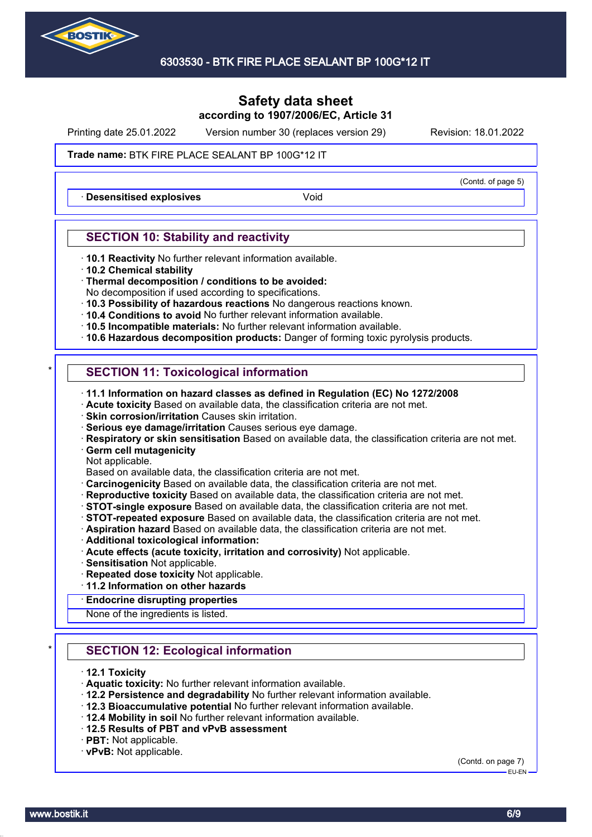

Printing date 25.01.2022 Version number 30 (replaces version 29) Revision: 18.01.2022

(Contd. of page 5)

### Trade name: BTK FIRE PLACE SEALANT BP 100G\*12 IT

**Desensitised explosives Void** 

## **SECTION 10: Stability and reactivity**

- · **10.1 Reactivity** No further relevant information available.
- · **10.2 Chemical stability**
- · **Thermal decomposition / conditions to be avoided:**
- No decomposition if used according to specifications.
- · **10.3 Possibility of hazardous reactions** No dangerous reactions known.
- · **10.4 Conditions to avoid** No further relevant information available.
- · **10.5 Incompatible materials:** No further relevant information available.
- · **10.6 Hazardous decomposition products:** Danger of forming toxic pyrolysis products.

# **SECTION 11: Toxicological information**

- · **11.1 Information on hazard classes as defined in Regulation (EC) No 1272/2008**
- · **Acute toxicity** Based on available data, the classification criteria are not met.
- · **Skin corrosion/irritation** Causes skin irritation.
- · **Serious eye damage/irritation** Causes serious eye damage.
- · **Respiratory or skin sensitisation** Based on available data, the classification criteria are not met.
- · **Germ cell mutagenicity**
- Not applicable.
- Based on available data, the classification criteria are not met.
- · **Carcinogenicity** Based on available data, the classification criteria are not met.
- · **Reproductive toxicity** Based on available data, the classification criteria are not met.
- · **STOT-single exposure** Based on available data, the classification criteria are not met.
- · **STOT-repeated exposure** Based on available data, the classification criteria are not met.
- · **Aspiration hazard** Based on available data, the classification criteria are not met.
- · **Additional toxicological information:**
- · **Acute effects (acute toxicity, irritation and corrosivity)** Not applicable.
- · **Sensitisation** Not applicable.
- · **Repeated dose toxicity** Not applicable.
- · **11.2 Information on other hazards**
- · **Endocrine disrupting properties**

None of the ingredients is listed.

# **SECTION 12: Ecological information**

- · **12.1 Toxicity**
- · **Aquatic toxicity:** No further relevant information available.
- · **12.2 Persistence and degradability** No further relevant information available.
- · **12.3 Bioaccumulative potential** No further relevant information available.
- · **12.4 Mobility in soil** No further relevant information available.
- · **12.5 Results of PBT and vPvB assessment**
- · **PBT:** Not applicable.
- · **vPvB:** Not applicable.

(Contd. on page 7)

EU-EN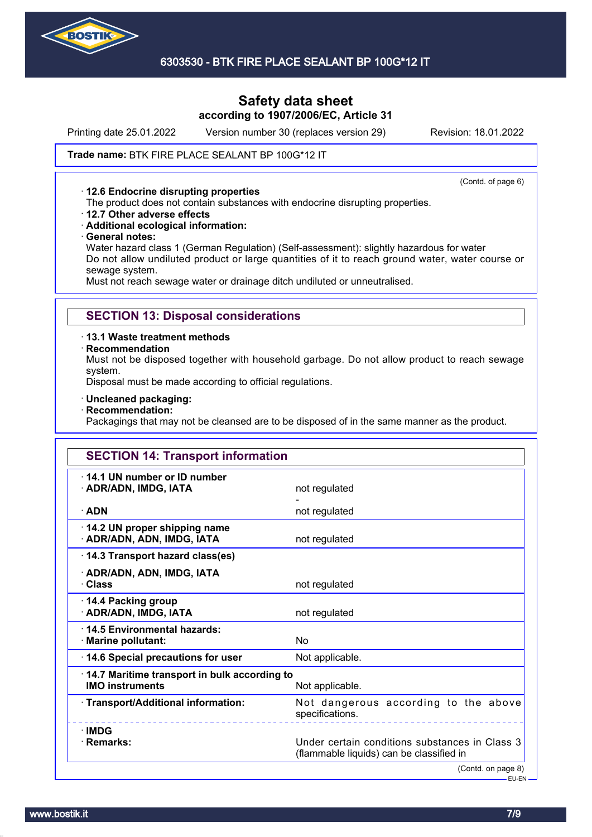

### 6303530 - BTK FIRE PLACE SEALANT BP 100G\*12 IT

## **Safety data sheet according to 1907/2006/EC, Article 31**

Printing date 25.01.2022 Version number 30 (replaces version 29) Revision: 18.01.2022

#### Trade name: BTK FIRE PLACE SEALANT BP 100G\*12 IT

#### · **12.6 Endocrine disrupting properties**

(Contd. of page 6)

- The product does not contain substances with endocrine disrupting properties.
- · **12.7 Other adverse effects**
- · **Additional ecological information:**
- · **General notes:**

Water hazard class 1 (German Regulation) (Self-assessment): slightly hazardous for water Do not allow undiluted product or large quantities of it to reach ground water, water course or sewage system.

Must not reach sewage water or drainage ditch undiluted or unneutralised.

### **SECTION 13: Disposal considerations**

· **13.1 Waste treatment methods**

· **Recommendation**

Must not be disposed together with household garbage. Do not allow product to reach sewage system.

Disposal must be made according to official regulations.

- · **Uncleaned packaging:**
- · **Recommendation:**

Packagings that may not be cleansed are to be disposed of in the same manner as the product.

| <b>SECTION 14: Transport information</b>                               |                                                                                            |
|------------------------------------------------------------------------|--------------------------------------------------------------------------------------------|
| 14.1 UN number or ID number<br>· ADR/ADN, IMDG, IATA                   | not regulated                                                                              |
| $\cdot$ ADN                                                            | not regulated                                                                              |
| 14.2 UN proper shipping name<br>· ADR/ADN, ADN, IMDG, IATA             | not regulated                                                                              |
| 14.3 Transport hazard class(es)                                        |                                                                                            |
| · ADR/ADN, ADN, IMDG, IATA<br>· Class                                  | not regulated                                                                              |
| 14.4 Packing group<br>· ADR/ADN, IMDG, IATA                            | not regulated                                                                              |
| 14.5 Environmental hazards:<br>· Marine pollutant:                     | N <sub>0</sub>                                                                             |
| 14.6 Special precautions for user                                      | Not applicable.                                                                            |
| 14.7 Maritime transport in bulk according to<br><b>IMO instruments</b> | Not applicable.                                                                            |
| · Transport/Additional information:                                    | Not dangerous according to the above<br>specifications.                                    |
| $\cdot$ IMDG<br>· Remarks:                                             | Under certain conditions substances in Class 3<br>(flammable liquids) can be classified in |
|                                                                        | (Contd. on page 8)                                                                         |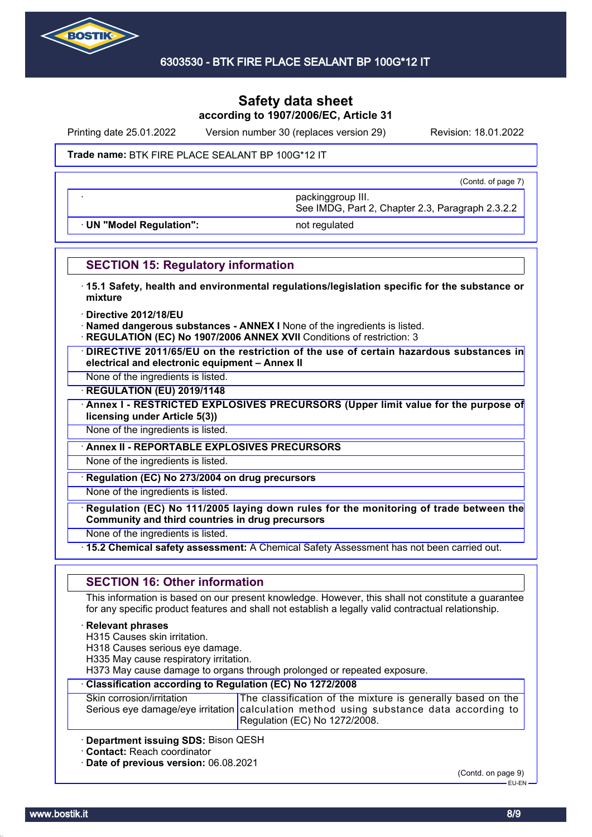

Printing date 25.01.2022 Version number 30 (replaces version 29) Revision: 18.01.2022

#### Trade name: BTK FIRE PLACE SEALANT BP 100G\*12 IT

(Contd. of page 7)

· **UN "Model Regulation":** not regulated

See IMDG, Part 2, Chapter 2.3, Paragraph 2.3.2.2

· packinggroup III.

## **SECTION 15: Regulatory information**

- · **15.1 Safety, health and environmental regulations/legislation specific for the substance or mixture**
- · **Directive 2012/18/EU**
- · **Named dangerous substances ANNEX I** None of the ingredients is listed.
- **REGULATION (EC) No 1907/2006 ANNEX XVII Conditions of restriction: 3**
- · **DIRECTIVE 2011/65/EU on the restriction of the use of certain hazardous substances in electrical and electronic equipment – Annex II**
- None of the ingredients is listed.

· **REGULATION (EU) 2019/1148**

· **Annex I - RESTRICTED EXPLOSIVES PRECURSORS (Upper limit value for the purpose of licensing under Article 5(3))**

None of the ingredients is listed.

· **Annex II - REPORTABLE EXPLOSIVES PRECURSORS**

None of the ingredients is listed.

· **Regulation (EC) No 273/2004 on drug precursors**

None of the ingredients is listed.

· **Regulation (EC) No 111/2005 laying down rules for the monitoring of trade between the Community and third countries in drug precursors**

None of the ingredients is listed.

· **15.2 Chemical safety assessment:** A Chemical Safety Assessment has not been carried out.

## **SECTION 16: Other information**

This information is based on our present knowledge. However, this shall not constitute a guarantee for any specific product features and shall not establish a legally valid contractual relationship.

#### · **Relevant phrases**

H315 Causes skin irritation.

H318 Causes serious eye damage.

H335 May cause respiratory irritation.

H373 May cause damage to organs through prolonged or repeated exposure.

# · **Classification according to Regulation (EC) No 1272/2008**

| Skin corrosion/irritation | The classification of the mixture is generally based on the                            |
|---------------------------|----------------------------------------------------------------------------------------|
|                           | Serious eye damage/eye irritation calculation method using substance data according to |
|                           | Regulation (EC) No 1272/2008.                                                          |

· **Department issuing SDS:** Bison QESH

· **Contact:** Reach coordinator

· **Date of previous version:** 06.08.2021

(Contd. on page 9)